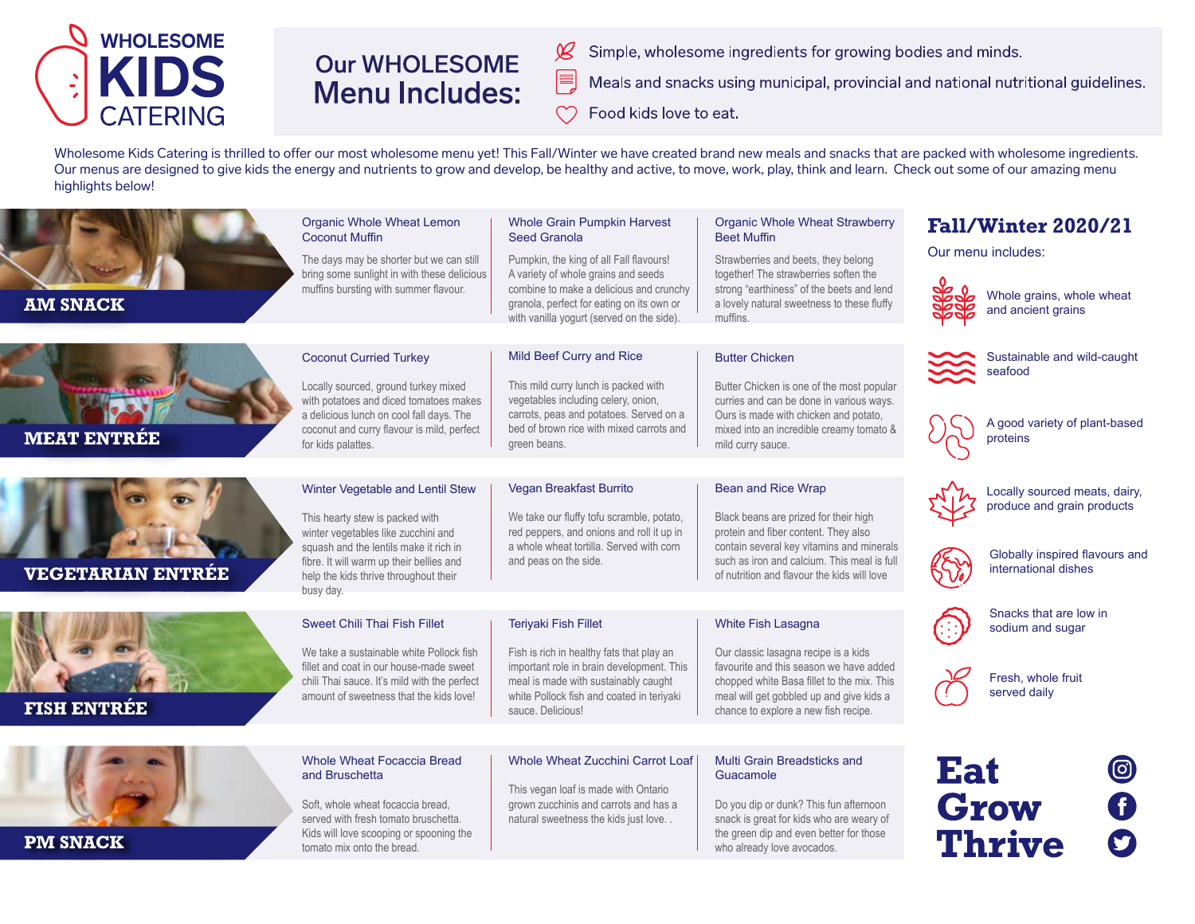

# **Our WHOLESOME Menu Includes:**

- *SB* Simple, wholesome ingredients for growing bodies and minds.
- $\equiv$  Meals and snacks using municipal, provincial and national nutritional guidelines.
- $\heartsuit$  Food kids love to eat.

Wholesome Kids Catering is thrilled to offer our most wholesome menu yet! This Fall/Winter we have created brand new meals and snacks that are packed with wholesome ingredients. Our menus are designed to give kids the energy and nutrients to grow and develop, be healthy and active, to move, work, play, think and learn. Check out some of our amazing menu highlights below!

|                          | <b>Organic Whole Wheat Lemon</b><br><b>Coconut Muffin</b>                                                                                                                                                                                              | <b>Whole Grain Pumpkin Harvest</b><br>Seed Granola                                                                                                                                                                              | <b>Organic Whole Wheat Strawberry</b><br><b>Beet Muffin</b>                                                                                                                                                                                           | <b>Fall/Winter 2020/21</b>                                                                                            |
|--------------------------|--------------------------------------------------------------------------------------------------------------------------------------------------------------------------------------------------------------------------------------------------------|---------------------------------------------------------------------------------------------------------------------------------------------------------------------------------------------------------------------------------|-------------------------------------------------------------------------------------------------------------------------------------------------------------------------------------------------------------------------------------------------------|-----------------------------------------------------------------------------------------------------------------------|
| <b>AM SNACK</b>          | The days may be shorter but we can still<br>bring some sunlight in with these delicious<br>muffins bursting with summer flavour.                                                                                                                       | Pumpkin, the king of all Fall flavours!<br>A variety of whole grains and seeds<br>combine to make a delicious and crunchy<br>granola, perfect for eating on its own or<br>with vanilla yogurt (served on the side).             | Strawberries and beets, they belong<br>together! The strawberries soften the<br>strong "earthiness" of the beets and lend<br>a lovely natural sweetness to these fluffy<br>muffins.                                                                   | Our menu includes:<br>Whole grains, whole wheat<br>and ancient grains                                                 |
| <b>MEAT ENTRÉE</b>       | <b>Coconut Curried Turkey</b><br>Locally sourced, ground turkey mixed<br>with potatoes and diced tomatoes makes<br>a delicious lunch on cool fall days. The<br>coconut and curry flavour is mild, perfect<br>for kids palattes.                        | Mild Beef Curry and Rice<br>This mild curry lunch is packed with<br>vegetables including celery, onion,<br>carrots, peas and potatoes. Served on a<br>bed of brown rice with mixed carrots and<br>green beans.                  | <b>Butter Chicken</b><br>Butter Chicken is one of the most popular<br>curries and can be done in various ways.<br>Ours is made with chicken and potato,<br>mixed into an incredible creamy tomato &<br>mild curry sauce.                              | Sustainable and wild-caught<br>seafood<br>A good variety of plant-based<br>proteins                                   |
| <b>VEGETARIAN ENTRÉE</b> | Winter Vegetable and Lentil Stew<br>This hearty stew is packed with<br>winter vegetables like zucchini and<br>squash and the lentils make it rich in<br>fibre. It will warm up their bellies and<br>help the kids thrive throughout their<br>busy day. | Vegan Breakfast Burrito<br>We take our fluffy tofu scramble, potato,<br>red peppers, and onions and roll it up in<br>a whole wheat tortilla. Served with corn<br>and peas on the side.                                          | <b>Bean and Rice Wrap</b><br>Black beans are prized for their high<br>protein and fiber content. They also<br>contain several key vitamins and minerals<br>such as iron and calcium. This meal is full<br>of nutrition and flavour the kids will love | Locally sourced meats, dairy,<br>produce and grain products<br>Globally inspired flavours and<br>international dishes |
| <b>FISH ENTRÉE</b>       | <b>Sweet Chili Thai Fish Fillet</b><br>We take a sustainable white Pollock fish<br>fillet and coat in our house-made sweet<br>chili Thai sauce. It's mild with the perfect<br>amount of sweetness that the kids love!                                  | <b>Teriyaki Fish Fillet</b><br>Fish is rich in healthy fats that play an<br>important role in brain development. This<br>meal is made with sustainably caught<br>white Pollock fish and coated in teriyaki<br>sauce. Delicious! | White Fish Lasagna<br>Our classic lasagna recipe is a kids<br>favourite and this season we have added<br>chopped white Basa fillet to the mix. This<br>meal will get gobbled up and give kids a<br>chance to explore a new fish recipe.               | Snacks that are low in<br>sodium and sugar<br>Fresh, whole fruit<br>served daily                                      |
| <b>PM SNACK</b>          | <b>Whole Wheat Focaccia Bread</b><br>and Bruschetta<br>Soft, whole wheat focaccia bread.<br>served with fresh tomato bruschetta.<br>Kids will love scooping or spooning the<br>tomato mix onto the bread.                                              | Whole Wheat Zucchini Carrot Loaf<br>This vegan loaf is made with Ontario<br>grown zucchinis and carrots and has a<br>natural sweetness the kids just love. .                                                                    | Multi Grain Breadsticks and<br>Guacamole<br>Do you dip or dunk? This fun afternoon<br>snack is great for kids who are weary of<br>the green dip and even better for those<br>who already love avocados.                                               | <b>Eat</b><br>$\circledcirc$<br>Grow<br>f<br><b>Thrive</b><br>$\boldsymbol{\Omega}$                                   |